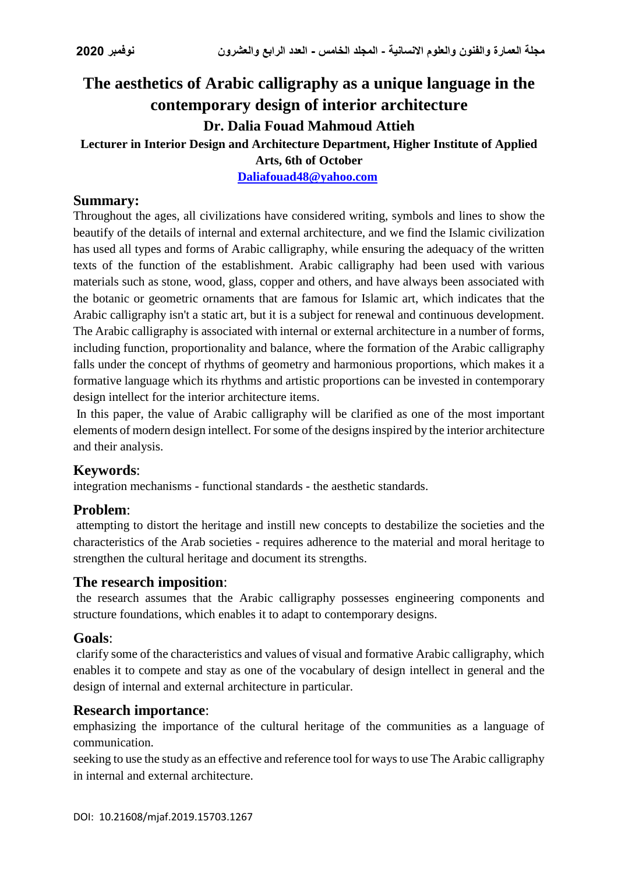# **The aesthetics of Arabic calligraphy as a unique language in the contemporary design of interior architecture**

# **Dr. Dalia Fouad Mahmoud Attieh**

# **Lecturer in Interior Design and Architecture Department, Higher Institute of Applied**

**Arts, 6th of October**

**[Daliafouad48@yahoo.com](mailto:Daliafouad48@yahoo.com)**

### **Summary:**

Throughout the ages, all civilizations have considered writing, symbols and lines to show the beautify of the details of internal and external architecture, and we find the Islamic civilization has used all types and forms of Arabic calligraphy, while ensuring the adequacy of the written texts of the function of the establishment. Arabic calligraphy had been used with various materials such as stone, wood, glass, copper and others, and have always been associated with the botanic or geometric ornaments that are famous for Islamic art, which indicates that the Arabic calligraphy isn't a static art, but it is a subject for renewal and continuous development. The Arabic calligraphy is associated with internal or external architecture in a number of forms, including function, proportionality and balance, where the formation of the Arabic calligraphy falls under the concept of rhythms of geometry and harmonious proportions, which makes it a formative language which its rhythms and artistic proportions can be invested in contemporary design intellect for the interior architecture items.

In this paper, the value of Arabic calligraphy will be clarified as one of the most important elements of modern design intellect. For some of the designs inspired by the interior architecture and their analysis.

# **Keywords**:

integration mechanisms - functional standards - the aesthetic standards.

# **Problem**:

attempting to distort the heritage and instill new concepts to destabilize the societies and the characteristics of the Arab societies - requires adherence to the material and moral heritage to strengthen the cultural heritage and document its strengths.

#### **The research imposition**:

the research assumes that the Arabic calligraphy possesses engineering components and structure foundations, which enables it to adapt to contemporary designs.

#### **Goals**:

clarify some of the characteristics and values of visual and formative Arabic calligraphy, which enables it to compete and stay as one of the vocabulary of design intellect in general and the design of internal and external architecture in particular.

# **Research importance**:

emphasizing the importance of the cultural heritage of the communities as a language of communication.

seeking to use the study as an effective and reference tool for ways to use The Arabic calligraphy in internal and external architecture.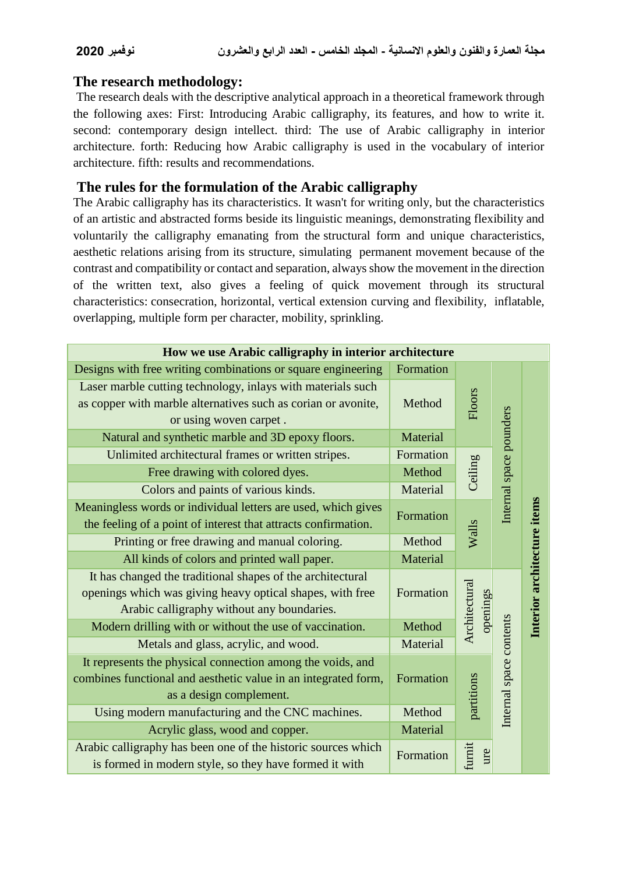#### **The research methodology:**

The research deals with the descriptive analytical approach in a theoretical framework through the following axes: First: Introducing Arabic calligraphy, its features, and how to write it. second: contemporary design intellect. third: The use of Arabic calligraphy in interior architecture. forth: Reducing how Arabic calligraphy is used in the vocabulary of interior architecture. fifth: results and recommendations.

### **The rules for the formulation of the Arabic calligraphy**

The Arabic calligraphy has its characteristics. It wasn't for writing only, but the characteristics of an artistic and abstracted forms beside its linguistic meanings, demonstrating flexibility and voluntarily the calligraphy emanating from the structural form and unique characteristics, aesthetic relations arising from its structure, simulating permanent movement because of the contrast and compatibility or contact and separation, always show the movement in the direction of the written text, also gives a feeling of quick movement through its structural characteristics: consecration, horizontal, vertical extension curving and flexibility, inflatable, overlapping, multiple form per character, mobility, sprinkling.

| How we use Arabic calligraphy in interior architecture                                                                                                                |           |                           |                         |                             |
|-----------------------------------------------------------------------------------------------------------------------------------------------------------------------|-----------|---------------------------|-------------------------|-----------------------------|
| Designs with free writing combinations or square engineering                                                                                                          | Formation |                           |                         |                             |
| Laser marble cutting technology, inlays with materials such<br>as copper with marble alternatives such as corian or avonite,<br>or using woven carpet.                | Method    | Floors                    |                         |                             |
| Natural and synthetic marble and 3D epoxy floors.                                                                                                                     | Material  |                           | Internal space pounders | Interior architecture items |
| Unlimited architectural frames or written stripes.                                                                                                                    | Formation | Ceiling                   |                         |                             |
| Free drawing with colored dyes.                                                                                                                                       | Method    |                           |                         |                             |
| Colors and paints of various kinds.                                                                                                                                   | Material  |                           |                         |                             |
| Meaningless words or individual letters are used, which gives<br>the feeling of a point of interest that attracts confirmation.                                       | Formation | Walls                     |                         |                             |
| Printing or free drawing and manual coloring.                                                                                                                         | Method    |                           |                         |                             |
| All kinds of colors and printed wall paper.                                                                                                                           | Material  |                           |                         |                             |
| It has changed the traditional shapes of the architectural<br>openings which was giving heavy optical shapes, with free<br>Arabic calligraphy without any boundaries. | Formation | Architectural<br>openings |                         |                             |
| Modern drilling with or without the use of vaccination.                                                                                                               | Method    |                           |                         |                             |
| Metals and glass, acrylic, and wood.                                                                                                                                  | Material  |                           |                         |                             |
| It represents the physical connection among the voids, and<br>combines functional and aesthetic value in an integrated form,<br>as a design complement.               | Formation | partitions                | Internal space contents |                             |
| Using modern manufacturing and the CNC machines.                                                                                                                      | Method    |                           |                         |                             |
| Acrylic glass, wood and copper.                                                                                                                                       | Material  |                           |                         |                             |
| Arabic calligraphy has been one of the historic sources which<br>is formed in modern style, so they have formed it with                                               | Formation | furnit<br>ure             |                         |                             |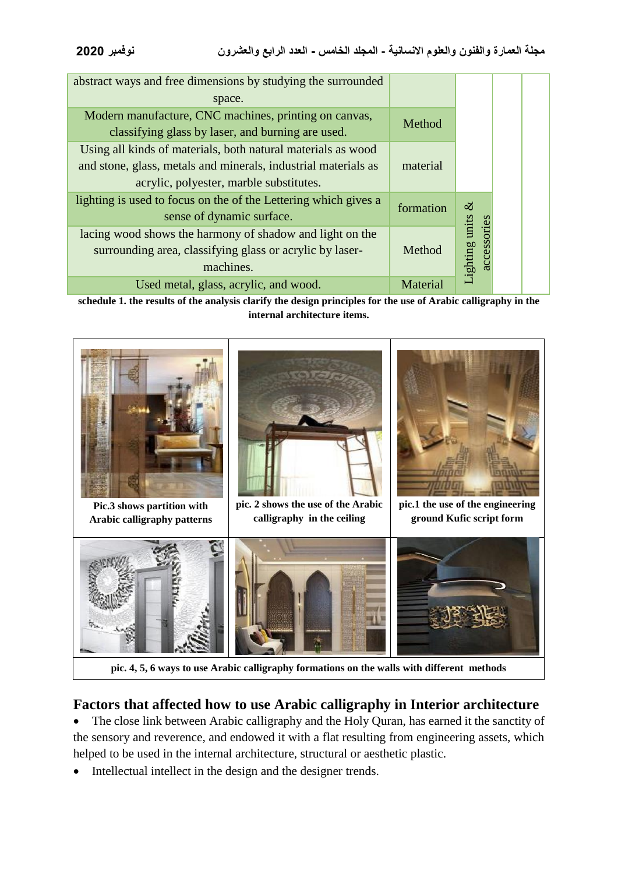| abstract ways and free dimensions by studying the surrounded<br>space.<br>Modern manufacture, CNC machines, printing on canvas, |
|---------------------------------------------------------------------------------------------------------------------------------|
|                                                                                                                                 |
|                                                                                                                                 |
|                                                                                                                                 |
| Method<br>classifying glass by laser, and burning are used.                                                                     |
| Using all kinds of materials, both natural materials as wood                                                                    |
| and stone, glass, metals and minerals, industrial materials as<br>material                                                      |
| acrylic, polyester, marble substitutes.                                                                                         |
| lighting is used to focus on the of the Lettering which gives a<br>$\infty$<br>formation                                        |
| sense of dynamic surface.                                                                                                       |
| accessories<br>lacing wood shows the harmony of shadow and light on the                                                         |
| surrounding area, classifying glass or acrylic by laser-<br>Method                                                              |
| Lighting units<br>machines.                                                                                                     |
| Used metal, glass, acrylic, and wood.<br>Material                                                                               |

**schedule 1. the results of the analysis clarify the design principles for the use of Arabic calligraphy in the internal architecture items.**



# **Factors that affected how to use Arabic calligraphy in Interior architecture**

• The close link between Arabic calligraphy and the Holy Quran, has earned it the sanctity of the sensory and reverence, and endowed it with a flat resulting from engineering assets, which helped to be used in the internal architecture, structural or aesthetic plastic.

• Intellectual intellect in the design and the designer trends.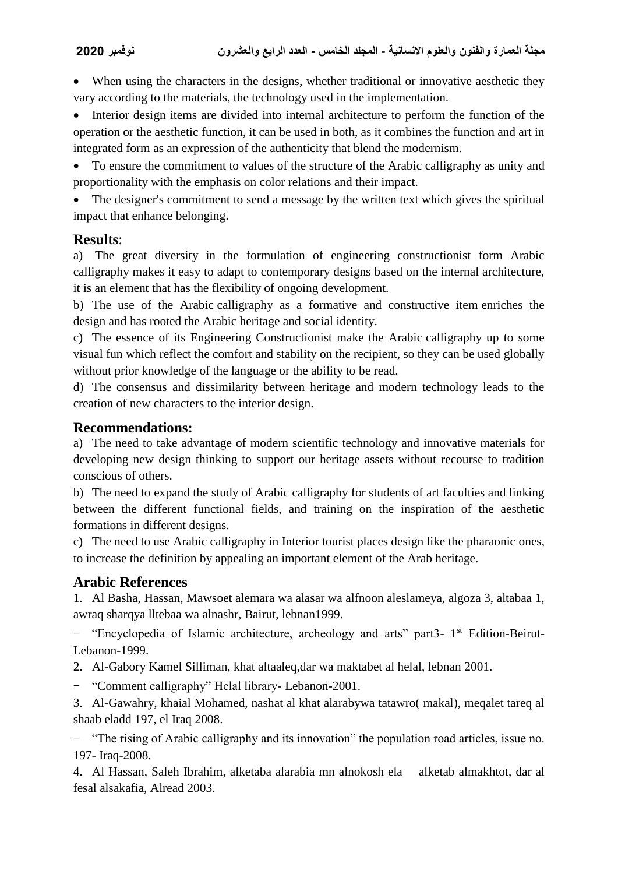When using the characters in the designs, whether traditional or innovative aesthetic they vary according to the materials, the technology used in the implementation.

 Interior design items are divided into internal architecture to perform the function of the operation or the aesthetic function, it can be used in both, as it combines the function and art in integrated form as an expression of the authenticity that blend the modernism.

 To ensure the commitment to values of the structure of the Arabic calligraphy as unity and proportionality with the emphasis on color relations and their impact.

• The designer's commitment to send a message by the written text which gives the spiritual impact that enhance belonging.

#### **Results**:

a) The great diversity in the formulation of engineering constructionist form Arabic calligraphy makes it easy to adapt to contemporary designs based on the internal architecture, it is an element that has the flexibility of ongoing development.

b) The use of the Arabic calligraphy as a formative and constructive item enriches the design and has rooted the Arabic heritage and social identity.

c) The essence of its Engineering Constructionist make the Arabic calligraphy up to some visual fun which reflect the comfort and stability on the recipient, so they can be used globally without prior knowledge of the language or the ability to be read.

d) The consensus and dissimilarity between heritage and modern technology leads to the creation of new characters to the interior design.

# **Recommendations:**

a) The need to take advantage of modern scientific technology and innovative materials for developing new design thinking to support our heritage assets without recourse to tradition conscious of others.

b) The need to expand the study of Arabic calligraphy for students of art faculties and linking between the different functional fields, and training on the inspiration of the aesthetic formations in different designs.

c) The need to use Arabic calligraphy in Interior tourist places design like the pharaonic ones, to increase the definition by appealing an important element of the Arab heritage.

# **Arabic References**

1. Al Basha, Hassan, Mawsoet alemara wa alasar wa alfnoon aleslameya, algoza 3, altabaa 1, awraq sharqya lltebaa wa alnashr, Bairut, lebnan1999.

- "Encyclopedia of Islamic architecture, archeology and arts" part3- 1<sup>st</sup> Edition-Beirut-Lebanon-1999.

2. Al-Gabory Kamel Silliman, khat altaaleq,dar wa maktabet al helal, lebnan 2001.

- "Comment calligraphy" Helal library- Lebanon-2001.

3. Al-Gawahry, khaial Mohamed, nashat al khat alarabywa tatawro( makal), meqalet tareq al shaab eladd 197, el Iraq 2008.

- "The rising of Arabic calligraphy and its innovation" the population road articles, issue no. 197- Iraq-2008.

4. Al Hassan, Saleh Ibrahim, alketaba alarabia mn alnokosh ela alketab almakhtot, dar al fesal alsakafia, Alread 2003.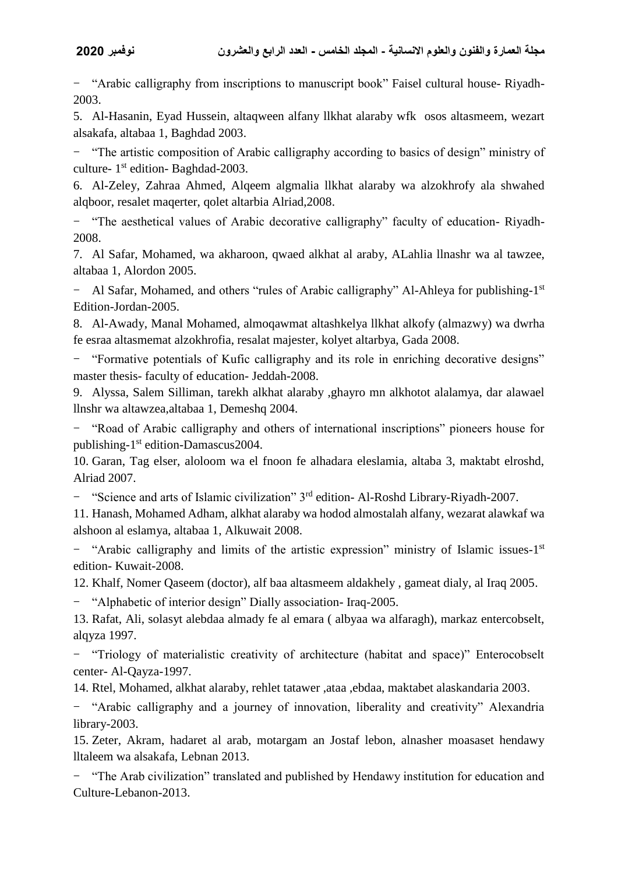- "Arabic calligraphy from inscriptions to manuscript book" Faisel cultural house- Riyadh-2003.

5. Al-Hasanin, Eyad Hussein, altaqween alfany llkhat alaraby wfk osos altasmeem, wezart alsakafa, altabaa 1, Baghdad 2003.

- "The artistic composition of Arabic calligraphy according to basics of design" ministry of culture- 1<sup>st</sup> edition- Baghdad-2003.

6. Al-Zeley, Zahraa Ahmed, Alqeem algmalia llkhat alaraby wa alzokhrofy ala shwahed alqboor, resalet maqerter, qolet altarbia Alriad,2008.

- "The aesthetical values of Arabic decorative calligraphy" faculty of education- Riyadh-2008.

7. Al Safar, Mohamed, wa akharoon, qwaed alkhat al araby, ALahlia llnashr wa al tawzee, altabaa 1, Alordon 2005.

- Al Safar, Mohamed, and others "rules of Arabic calligraphy" Al-Ahleya for publishing-1<sup>st</sup> Edition-Jordan-2005.

8. Al-Awady, Manal Mohamed, almoqawmat altashkelya llkhat alkofy (almazwy) wa dwrha fe esraa altasmemat alzokhrofia, resalat majester, kolyet altarbya, Gada 2008.

- "Formative potentials of Kufic calligraphy and its role in enriching decorative designs" master thesis- faculty of education- Jeddah-2008.

9. Alyssa, Salem Silliman, tarekh alkhat alaraby ,ghayro mn alkhotot alalamya, dar alawael llnshr wa altawzea,altabaa 1, Demeshq 2004.

- "Road of Arabic calligraphy and others of international inscriptions" pioneers house for publishing-1<sup>st</sup> edition-Damascus2004.

10. Garan, Tag elser, aloloom wa el fnoon fe alhadara eleslamia, altaba 3, maktabt elroshd, Alriad 2007.

- "Science and arts of Islamic civilization" 3rd edition- Al-Roshd Library-Riyadh-2007.

11. Hanash, Mohamed Adham, alkhat alaraby wa hodod almostalah alfany, wezarat alawkaf wa alshoon al eslamya, altabaa 1, Alkuwait 2008.

- "Arabic calligraphy and limits of the artistic expression" ministry of Islamic issues-1<sup>st</sup> edition- Kuwait-2008.

12. Khalf, Nomer Qaseem (doctor), alf baa altasmeem aldakhely , gameat dialy, al Iraq 2005.

- "Alphabetic of interior design" Dially association- Iraq-2005.

13. Rafat, Ali, solasyt alebdaa almady fe al emara ( albyaa wa alfaragh), markaz entercobselt, alqyza 1997.

- "Triology of materialistic creativity of architecture (habitat and space)" Enterocobselt center- Al-Qayza-1997.

14. Rtel, Mohamed, alkhat alaraby, rehlet tatawer ,ataa ,ebdaa, maktabet alaskandaria 2003.

- "Arabic calligraphy and a journey of innovation, liberality and creativity" Alexandria library-2003.

15. Zeter, Akram, hadaret al arab, motargam an Jostaf lebon, alnasher moasaset hendawy lltaleem wa alsakafa, Lebnan 2013.

- "The Arab civilization" translated and published by Hendawy institution for education and Culture-Lebanon-2013.